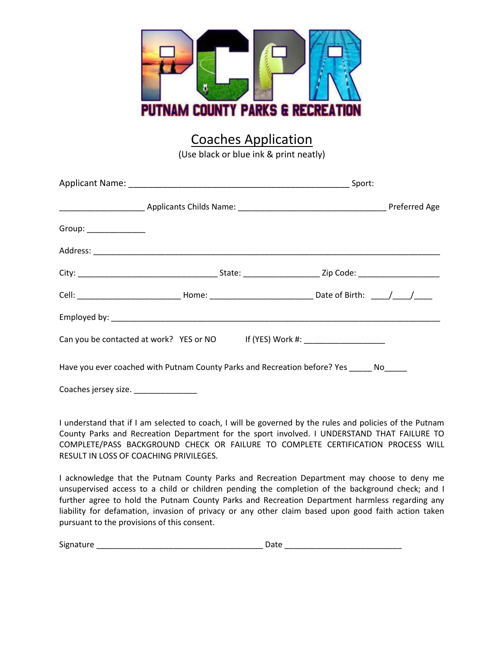

## Coaches Application

(Use black or blue ink & print neatly)

|                      |                                                                                  | Cell: ________________________________Home: __________________________________Date of Birth: _____/_____/_____ |  |  |
|----------------------|----------------------------------------------------------------------------------|----------------------------------------------------------------------------------------------------------------|--|--|
|                      |                                                                                  |                                                                                                                |  |  |
|                      | Can you be contacted at work? YES or NO If (YES) Work #: _______________________ |                                                                                                                |  |  |
|                      |                                                                                  | Have you ever coached with Putnam County Parks and Recreation before? Yes _____ No____                         |  |  |
| Coaches jersey size. |                                                                                  |                                                                                                                |  |  |

I understand that if I am selected to coach, I will be governed by the rules and policies of the Putnam County Parks and Recreation Department for the sport involved. I UNDERSTAND THAT FAILURE TO COMPLETE/PASS BACKGROUND CHECK OR FAILURE TO COMPLETE CERTIFICATION PROCESS WILL RESULT IN LOSS OF COACHING PRIVILEGES.

I acknowledge that the Putnam County Parks and Recreation Department may choose to deny me unsupervised access to a child or children pending the completion of the background check; and I further agree to hold the Putnam County Parks and Recreation Department harmless regarding any liability for defamation, invasion of privacy or any other claim based upon good faith action taken pursuant to the provisions of this consent.

| $\sim$<br>.<br>Sigr<br>.17111.<br>- |  |
|-------------------------------------|--|
|                                     |  |